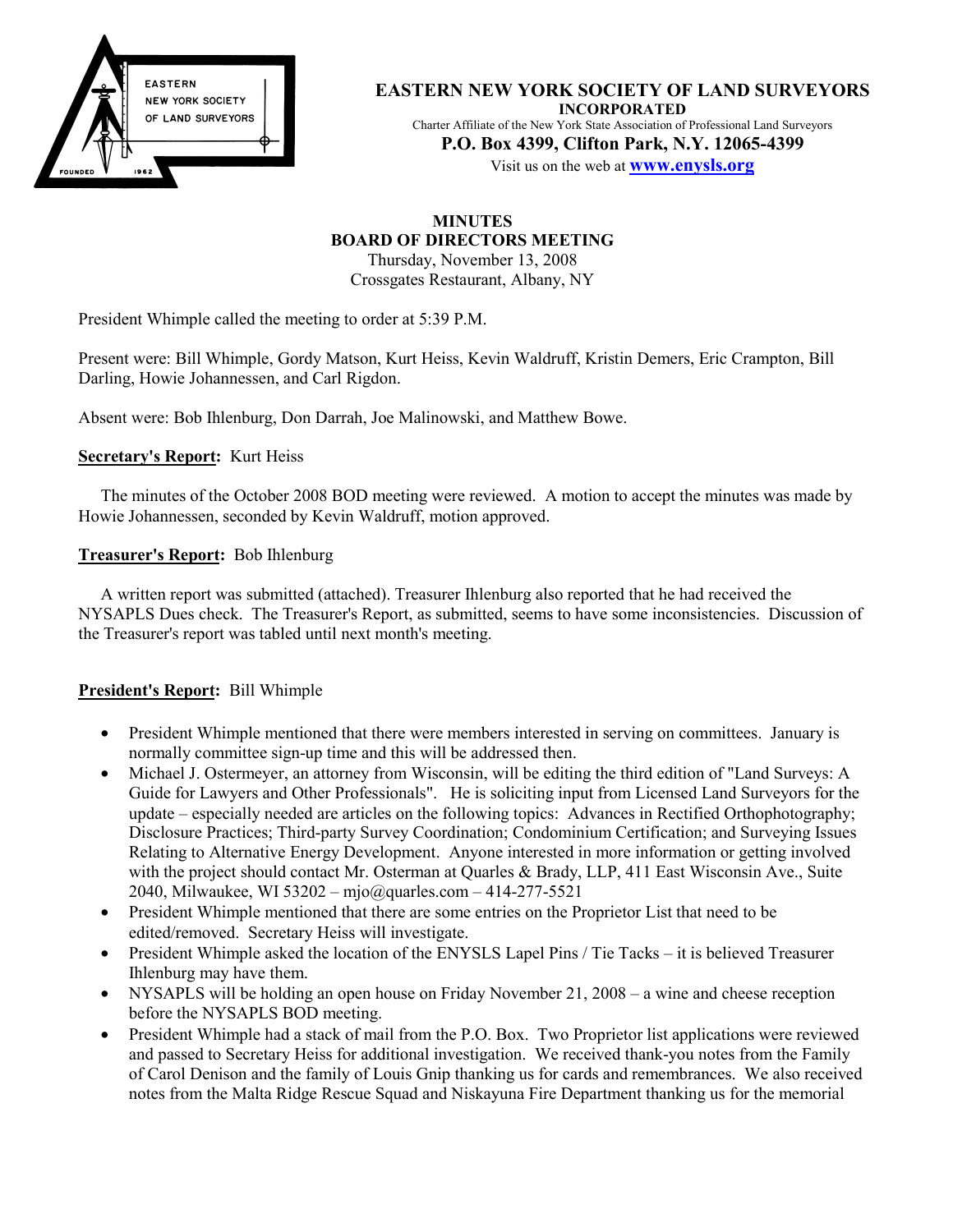

**EASTERN NEW YORK SOCIETY OF LAND SURVEYORS INCORPORATED** Charter Affiliate of the New York State Association of Professional Land Surveyors **P.O. Box 4399, Clifton Park, N.Y. 12065-4399**

Visit us on the web at **www.enysls.org**

# **MINUTES BOARD OF DIRECTORS MEETING**

Thursday, November 13, 2008 Crossgates Restaurant, Albany, NY

President Whimple called the meeting to order at 5:39 P.M.

Present were: Bill Whimple, Gordy Matson, Kurt Heiss, Kevin Waldruff, Kristin Demers, Eric Crampton, Bill Darling, Howie Johannessen, and Carl Rigdon.

Absent were: Bob Ihlenburg, Don Darrah, Joe Malinowski, and Matthew Bowe.

#### **Secretary's Report:** Kurt Heiss

The minutes of the October 2008 BOD meeting were reviewed. A motion to accept the minutes was made by Howie Johannessen, seconded by Kevin Waldruff, motion approved.

#### **Treasurer's Report:** Bob Ihlenburg

A written report was submitted (attached). Treasurer Ihlenburg also reported that he had received the NYSAPLS Dues check. The Treasurer's Report, as submitted, seems to have some inconsistencies. Discussion of the Treasurer's report was tabled until next month's meeting.

#### **President's Report:** Bill Whimple

- President Whimple mentioned that there were members interested in serving on committees. January is normally committee sign-up time and this will be addressed then.
- Michael J. Ostermeyer, an attorney from Wisconsin, will be editing the third edition of "Land Surveys: A Guide for Lawyers and Other Professionals". He is soliciting input from Licensed Land Surveyors for the update – especially needed are articles on the following topics: Advances in Rectified Orthophotography; Disclosure Practices; Third-party Survey Coordination; Condominium Certification; and Surveying Issues Relating to Alternative Energy Development. Anyone interested in more information or getting involved with the project should contact Mr. Osterman at Quarles & Brady, LLP, 411 East Wisconsin Ave., Suite 2040, Milwaukee, WI 53202 – mjo@quarles.com – 414-277-5521
- President Whimple mentioned that there are some entries on the Proprietor List that need to be edited/removed. Secretary Heiss will investigate.
- President Whimple asked the location of the ENYSLS Lapel Pins / Tie Tacks it is believed Treasurer Ihlenburg may have them.
- NYSAPLS will be holding an open house on Friday November 21, 2008 a wine and cheese reception before the NYSAPLS BOD meeting.
- President Whimple had a stack of mail from the P.O. Box. Two Proprietor list applications were reviewed and passed to Secretary Heiss for additional investigation. We received thank-you notes from the Family of Carol Denison and the family of Louis Gnip thanking us for cards and remembrances. We also received notes from the Malta Ridge Rescue Squad and Niskayuna Fire Department thanking us for the memorial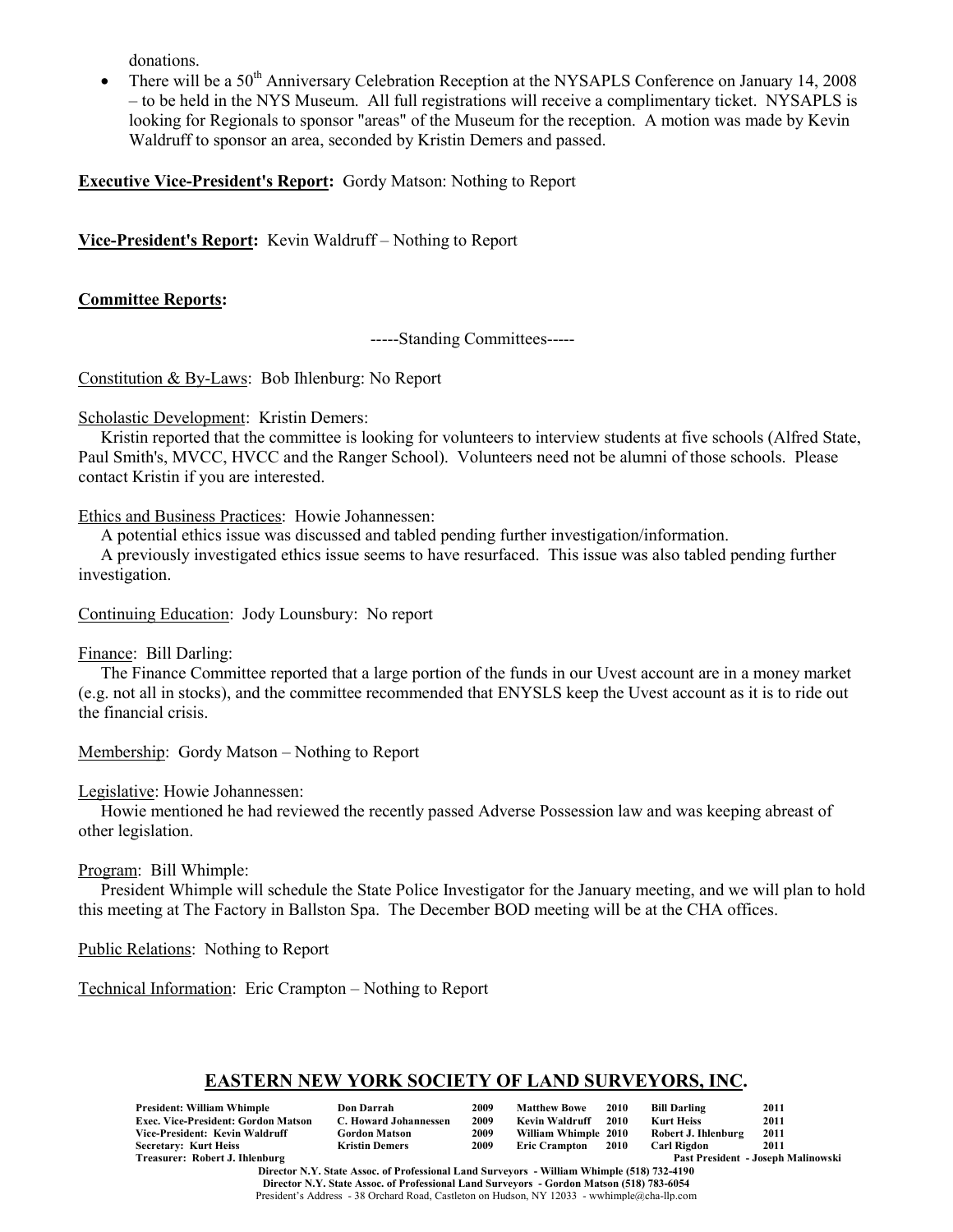donations.

There will be a 50<sup>th</sup> Anniversary Celebration Reception at the NYSAPLS Conference on January 14, 2008 – to be held in the NYS Museum. All full registrations will receive a complimentary ticket. NYSAPLS is looking for Regionals to sponsor "areas" of the Museum for the reception. A motion was made by Kevin Waldruff to sponsor an area, seconded by Kristin Demers and passed.

**Executive Vice-President's Report:** Gordy Matson: Nothing to Report

**Vice-President's Report:** Kevin Waldruff – Nothing to Report

## **Committee Reports:**

-----Standing Committees-----

Constitution & By-Laws: Bob Ihlenburg: No Report

Scholastic Development: Kristin Demers:

Kristin reported that the committee is looking for volunteers to interview students at five schools (Alfred State, Paul Smith's, MVCC, HVCC and the Ranger School). Volunteers need not be alumni of those schools. Please contact Kristin if you are interested.

#### Ethics and Business Practices: Howie Johannessen:

A potential ethics issue was discussed and tabled pending further investigation/information.

A previously investigated ethics issue seems to have resurfaced. This issue was also tabled pending further investigation.

Continuing Education: Jody Lounsbury: No report

#### Finance: Bill Darling:

The Finance Committee reported that a large portion of the funds in our Uvest account are in a money market (e.g. not all in stocks), and the committee recommended that ENYSLS keep the Uvest account as it is to ride out the financial crisis.

Membership: Gordy Matson – Nothing to Report

Legislative: Howie Johannessen:

Howie mentioned he had reviewed the recently passed Adverse Possession law and was keeping abreast of other legislation.

Program: Bill Whimple:

President Whimple will schedule the State Police Investigator for the January meeting, and we will plan to hold this meeting at The Factory in Ballston Spa. The December BOD meeting will be at the CHA offices.

Public Relations: Nothing to Report

Technical Information: Eric Crampton – Nothing to Report

# **EASTERN NEW YORK SOCIETY OF LAND SURVEYORS, INC.**

| <b>President: William Whimple</b>          | <b>Don Darrah</b>     | 2009 | <b>Matthew Bowe</b>  | <b>2010</b> | Bill Darling        | 2011                               |
|--------------------------------------------|-----------------------|------|----------------------|-------------|---------------------|------------------------------------|
| <b>Exec. Vice-President: Gordon Matson</b> | C. Howard Johannessen | 2009 | Kevin Waldruff       | 2010        | <b>Kurt Heiss</b>   | 2011                               |
| Vice-President: Kevin Waldruff             | <b>Gordon Matson</b>  | 2009 | William Whimple 2010 |             | Robert J. Ihlenburg | 2011                               |
| <b>Secretary: Kurt Heiss</b>               | <b>Kristin Demers</b> | 2009 | <b>Eric Crampton</b> | 2010        | <b>Carl Rigdon</b>  | 2011                               |
| Treasurer: Robert J. Ihlenburg             |                       |      |                      |             |                     | Past President - Joseph Malinowski |

**Director N.Y. State Assoc. of Professional Land Surveyors - William Whimple (518) 732-4190 Director N.Y. State Assoc. of Professional Land Surveyors - Gordon Matson (518) 783-6054** President's Address - 38 Orchard Road, Castleton on Hudson, NY 12033 - wwhimple@cha-llp.com